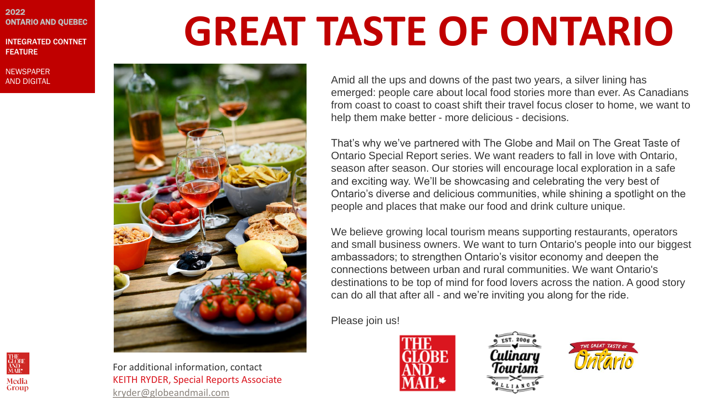#### 2022 ONTARIO AND QUEBEC

INTEGRATED CONTNET FEATURE

**NEWSPAPER** 





For additional information, contact KEITH RYDER, Special Reports Associate [kryder@globeandmail.com](mailto:kryder@globeandmail.com)

# **GREAT TASTE OF ONTARIO**

emerged: people care about local food stories more than ever. As Canadians from coast to coast to coast shift their travel focus closer to home, we want to help them make better - more delicious - decisions. That's why we've partnered with The Globe and Mail on The Great Taste of Ontario Special Report series. We want readers to fall in love with Ontario, season after season. Our stories will encourage local exploration in a safe and exciting way. We'll be showcasing and celebrating the very best of Ontario's diverse and delicious communities, while shining a spotlight on the people and places that make our food and drink culture unique. We believe growing local tourism means supporting restaurants, operators

and small business owners. We want to turn Ontario's people into our biggest ambassadors; to strengthen Ontario's visitor economy and deepen the connections between urban and rural communities. We want Ontario's destinations to be top of mind for food lovers across the nation. A good story can do all that after all - and we're inviting you along for the ride.

Please join us!





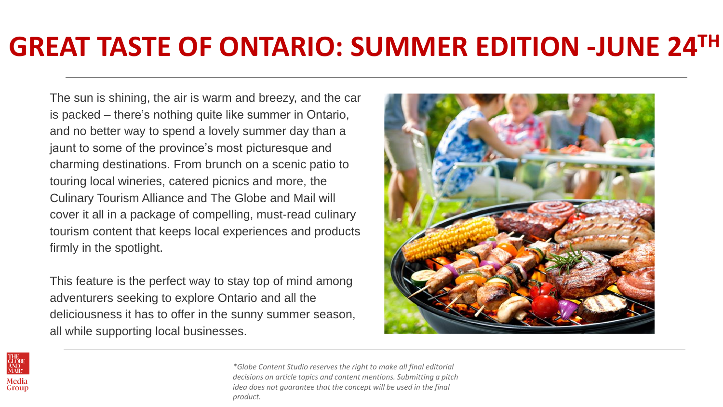# **GREAT TASTE OF ONTARIO: SUMMER EDITION -JUNE 24TH**

The sun is shining, the air is warm and breezy, and the car is packed – there's nothing quite like summer in Ontario, and no better way to spend a lovely summer day than a jaunt to some of the province's most picturesque and charming destinations. From brunch on a scenic patio to touring local wineries, catered picnics and more, the Culinary Tourism Alliance and The Globe and Mail will cover it all in a package of compelling, must-read culinary tourism content that keeps local experiences and products firmly in the spotlight.

This feature is the perfect way to stay top of mind among adventurers seeking to explore Ontario and all the deliciousness it has to offer in the sunny summer season, all while supporting local businesses.





*\*Globe Content Studio reserves the right to make all final editorial decisions on article topics and content mentions. Submitting a pitch idea does not quarantee that the concept will be used in the final product.*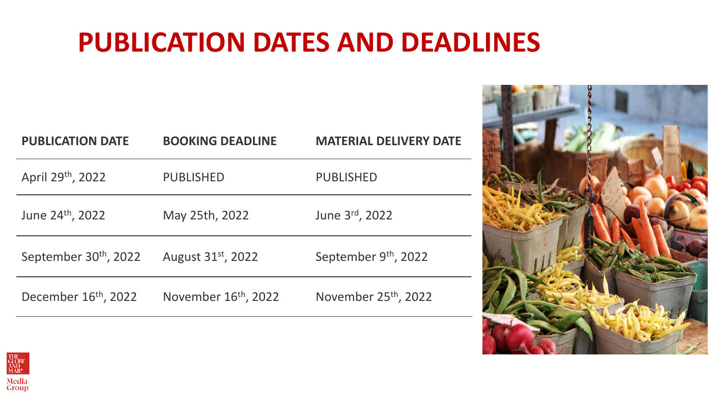# **PUBLICATION DATES AND DEADLINES**

| <b>PUBLICATION DATE</b>           | <b>BOOKING DEADLINE</b>        | <b>MATERIAL DELIVERY DATE</b> |
|-----------------------------------|--------------------------------|-------------------------------|
| April 29th, 2022                  | <b>PUBLISHED</b>               | <b>PUBLISHED</b>              |
| June 24th, 2022                   | May 25th, 2022                 | June 3rd, 2022                |
| September 30 <sup>th</sup> , 2022 | August 31 <sup>st</sup> , 2022 | September 9th, 2022           |
| December 16th, 2022               | November 16th, 2022            | November 25th, 2022           |



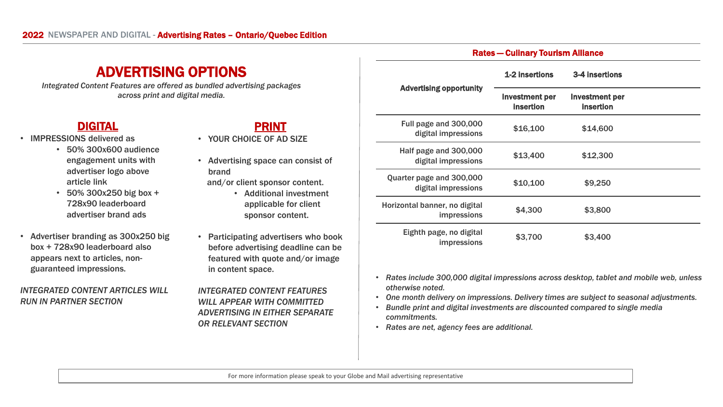### ADVERTISING OPTIONS

*Integrated Content Features are offered as bundled advertising packages across print and digital media.* 

#### DIGITAL

- IMPRESSIONS delivered as
	- 50% 300x600 audience engagement units with advertiser logo above article link
	- 50% 300x250 big box + 728x90 leaderboard advertiser brand ads
- Advertiser branding as 300x250 big box + 728x90 leaderboard also appears next to articles, nonguaranteed impressions.

#### *INTEGRATED CONTENT ARTICLES WILL RUN IN PARTNER SECTION*

### PRINT

- YOUR CHOICE OF AD SIZE
- Advertising space can consist of brand
	- and/or client sponsor content.
		- Additional investment applicable for client sponsor content.
- Participating advertisers who book before advertising deadline can be featured with quote and/or image in content space.

*INTEGRATED CONTENT FEATURES WILL APPEAR WITH COMMITTED ADVERTISING IN EITHER SEPARATE OR RELEVANT SECTION*

|                                                     | 1-2 insertions                            | 3-4 insertions                            |  |
|-----------------------------------------------------|-------------------------------------------|-------------------------------------------|--|
| <b>Advertising opportunity</b>                      | <b>Investment per</b><br><b>insertion</b> | <b>Investment per</b><br><b>insertion</b> |  |
| Full page and 300,000<br>digital impressions        | \$16,100                                  | \$14,600                                  |  |
| Half page and 300,000<br>digital impressions        | \$13,400                                  | \$12,300                                  |  |
| Quarter page and 300,000<br>digital impressions     | \$10,100                                  | \$9,250                                   |  |
| Horizontal banner, no digital<br><i>impressions</i> | \$4,300                                   | \$3,800                                   |  |
| Eighth page, no digital<br>impressions              | \$3,700                                   | \$3,400                                   |  |

Rates — Culinary Tourism Alliance

- *Rates include 300,000 digital impressions across desktop, tablet and mobile web, unless otherwise noted.*
- *One month delivery on impressions. Delivery times are subject to seasonal adjustments.*
- *Bundle print and digital investments are discounted compared to single media commitments.*
- *Rates are net, agency fees are additional.*